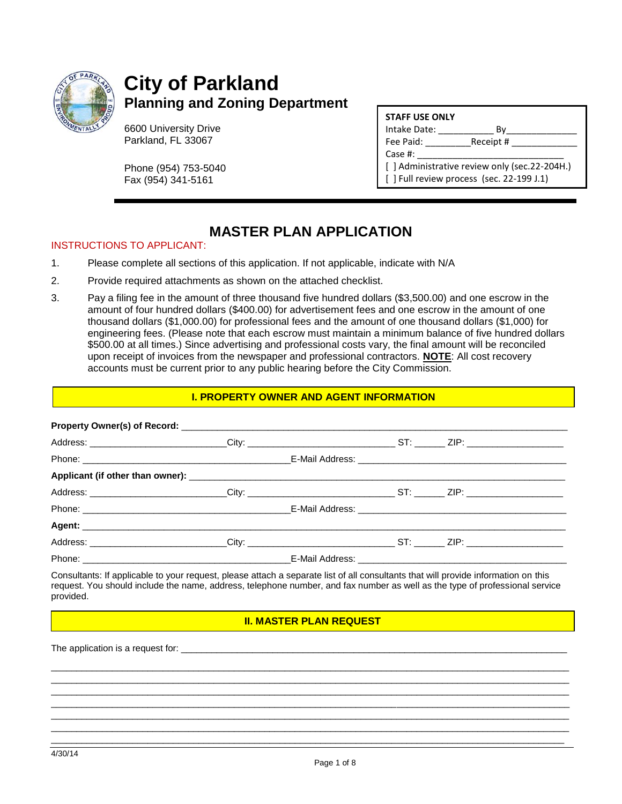

# **City of Parkland Planning and Zoning Department**

6600 University Drive Parkland, FL 33067

Phone (954) 753-5040 Fax (954) 341-5161

| <b>STAFF USE ONLY</b> |  |
|-----------------------|--|
|                       |  |

Intake Date: \_\_\_\_\_\_\_\_\_\_\_ By\_\_\_\_\_\_\_\_\_\_\_\_\_\_

Fee Paid: Receipt #

Case #:

[] Administrative review only (sec.22-204H.) [] Full review process (sec. 22-199 J.1)

### **MASTER PLAN APPLICATION**

#### INSTRUCTIONS TO APPLICANT:

- 1. Please complete all sections of this application. If not applicable, indicate with N/A
- 2. Provide required attachments as shown on the attached checklist.
- 3. Pay a filing fee in the amount of three thousand five hundred dollars (\$3,500.00) and one escrow in the amount of four hundred dollars (\$400.00) for advertisement fees and one escrow in the amount of one thousand dollars (\$1,000.00) for professional fees and the amount of one thousand dollars (\$1,000) for engineering fees. (Please note that each escrow must maintain a minimum balance of five hundred dollars \$500.00 at all times.) Since advertising and professional costs vary, the final amount will be reconciled upon receipt of invoices from the newspaper and professional contractors. **NOTE**: All cost recovery accounts must be current prior to any public hearing before the City Commission.

#### **I. PROPERTY OWNER AND AGENT INFORMATION**

| Address: _________________________City: _____________________________ST: _______ ZIP: ________________________ |  |  |  |
|----------------------------------------------------------------------------------------------------------------|--|--|--|
|                                                                                                                |  |  |  |
|                                                                                                                |  |  |  |
| Address: __________________________City: _______________________________ST: ________ZIP: _____________________ |  |  |  |
|                                                                                                                |  |  |  |

Consultants: If applicable to your request, please attach a separate list of all consultants that will provide information on this request. You should include the name, address, telephone number, and fax number as well as the type of professional service provided.

#### **II. MASTER PLAN REQUEST**

\_\_\_\_\_\_\_\_\_\_\_\_\_\_\_\_\_\_\_\_\_\_\_\_\_\_\_\_\_\_\_\_\_\_\_\_\_\_\_\_\_\_\_\_\_\_\_\_\_\_\_\_\_\_\_\_\_\_\_\_\_\_\_\_\_\_\_\_\_\_\_\_\_\_\_\_\_\_\_\_\_\_\_\_\_\_\_\_\_\_\_\_\_\_\_\_\_\_\_\_\_\_ \_\_\_\_\_\_\_\_\_\_\_\_\_\_\_\_\_\_\_\_\_\_\_\_\_\_\_\_\_\_\_\_\_\_\_\_\_\_\_\_\_\_\_\_\_\_\_\_\_\_\_\_\_\_\_\_\_\_\_\_\_\_\_\_\_\_\_\_\_\_\_\_\_\_\_\_\_\_\_\_\_\_\_\_\_\_\_\_\_\_\_\_\_\_\_\_\_\_\_\_\_\_ \_\_\_\_\_\_\_\_\_\_\_\_\_\_\_\_\_\_\_\_\_\_\_\_\_\_\_\_\_\_\_\_\_\_\_\_\_\_\_\_\_\_\_\_\_\_\_\_\_\_\_\_\_\_\_\_\_\_\_\_\_\_\_\_\_\_\_\_\_\_\_\_\_\_\_\_\_\_\_\_\_\_\_\_\_\_\_\_\_\_\_\_\_\_\_\_\_\_\_\_\_\_ \_\_\_\_\_\_\_\_\_\_\_\_\_\_\_\_\_\_\_\_\_\_\_\_\_\_\_\_\_\_\_\_\_\_\_\_\_\_\_\_\_\_\_\_\_\_\_\_\_\_\_\_\_\_\_\_\_\_\_\_\_\_\_\_\_\_\_\_\_\_\_\_\_\_\_\_\_\_\_\_\_\_\_\_\_\_\_\_\_\_\_\_\_\_\_\_\_\_\_\_\_\_ \_\_\_\_\_\_\_\_\_\_\_\_\_\_\_\_\_\_\_\_\_\_\_\_\_\_\_\_\_\_\_\_\_\_\_\_\_\_\_\_\_\_\_\_\_\_\_\_\_\_\_\_\_\_\_\_\_\_\_\_\_\_\_\_\_\_\_\_\_\_\_\_\_\_\_\_\_\_\_\_\_\_\_\_\_\_\_\_\_\_\_\_\_\_\_\_\_\_\_\_\_\_ \_\_\_\_\_\_\_\_\_\_\_\_\_\_\_\_\_\_\_\_\_\_\_\_\_\_\_\_\_\_\_\_\_\_\_\_\_\_\_\_\_\_\_\_\_\_\_\_\_\_\_\_\_\_\_\_\_\_\_\_\_\_\_\_\_\_\_\_\_\_\_\_\_\_\_\_\_\_\_\_\_\_\_\_\_\_\_\_\_\_\_\_\_\_\_\_\_\_\_\_\_\_ \_\_\_\_\_\_\_\_\_\_\_\_\_\_\_\_\_\_\_\_\_\_\_\_\_\_\_\_\_\_\_\_\_\_\_\_\_\_\_\_\_\_\_\_\_\_\_\_\_\_\_\_\_\_\_\_\_\_\_\_\_\_\_\_\_\_\_\_\_\_\_\_\_\_\_\_\_\_\_\_\_\_\_\_\_\_\_\_\_\_\_\_\_\_\_\_\_\_\_\_\_

The application is a request for: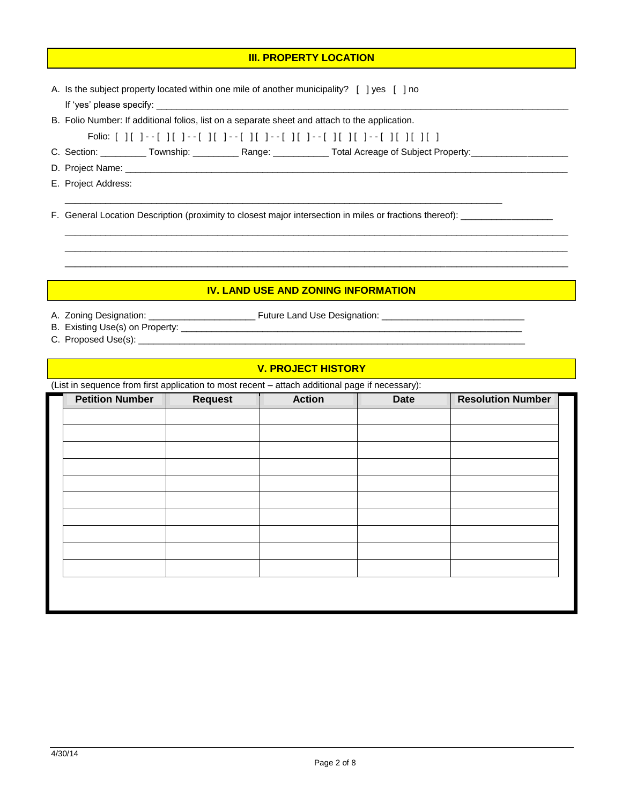#### **III. PROPERTY LOCATION**

- A. Is the subject property located within one mile of another municipality? [ ] yes [ ] no If 'yes' please specify:
- B. Folio Number: If additional folios, list on a separate sheet and attach to the application.
- Folio: [ ] [ ] - [ ] [ ] - [ ] [ ] - [ ] [ ] - [ ] [ ] - [ ] [ ] [ ] - [ ] [ ] [ ] [ ]

C. Section: \_\_\_\_\_\_\_\_\_\_ Township: \_\_\_\_\_\_\_\_\_\_ Range: \_\_\_\_\_\_\_\_\_\_\_\_ Total Acreage of Subject Property: \_\_\_\_\_\_\_\_\_\_\_\_\_\_\_\_\_

- D. Project Name:
- E. Project Address:

F. General Location Description (proximity to closest major intersection in miles or fractions thereof): \_\_\_\_\_\_\_\_\_\_

\_\_\_\_\_\_\_\_\_\_\_\_\_\_\_\_\_\_\_\_\_\_\_\_\_\_\_\_\_\_\_\_\_\_\_\_\_\_\_\_\_\_\_\_\_\_\_\_\_\_\_\_\_\_\_\_\_\_\_\_\_\_\_\_\_\_\_\_\_\_\_\_\_\_\_\_\_\_\_\_\_\_\_\_\_\_

## **IV. LAND USE AND ZONING INFORMATION**

 $\_$  ,  $\_$  ,  $\_$  ,  $\_$  ,  $\_$  ,  $\_$  ,  $\_$  ,  $\_$  ,  $\_$  ,  $\_$  ,  $\_$  ,  $\_$  ,  $\_$  ,  $\_$  ,  $\_$  ,  $\_$  ,  $\_$  ,  $\_$  ,  $\_$  ,  $\_$  ,  $\_$  ,  $\_$  ,  $\_$  ,  $\_$  ,  $\_$  ,  $\_$  ,  $\_$  ,  $\_$  ,  $\_$  ,  $\_$  ,  $\_$  ,  $\_$  ,  $\_$  ,  $\_$  ,  $\_$  ,  $\_$  ,  $\_$  ,  $\_$  ,  $\_$  ,  $\_$  ,  $\_$  ,  $\_$  ,  $\_$  ,  $\_$  ,  $\_$  ,  $\_$  ,  $\_$  ,  $\_$  ,  $\_$  ,  $\_$  ,  $\_$  ,  $\_$  ,  $\_$  ,  $\_$  ,  $\_$  ,  $\_$  ,  $\_$  ,  $\_$  ,  $\_$  ,  $\_$  ,  $\_$  ,  $\_$  ,  $\_$  ,  $\_$  ,  $\_$  ,  $\_$  ,  $\_$  ,  $\_$  ,  $\_$  ,  $\_$  ,  $\_$  ,  $\_$  ,  $\_$  ,  $\_$  ,  $\_$  ,  $\_$  ,  $\_$  ,  $\_$  ,  $\_$  ,  $\_$  ,  $\_$  ,  $\_$  ,  $\_$  ,  $\_$  ,  $\_$  ,  $\_$  ,  $\_$  ,  $\_$  ,  $\_$  ,  $\_$  ,  $\_$  ,  $\_$  ,  $\_$  ,  $\_$  ,  $\_$  ,  $\_$  ,  $\_$  ,  $\_$  ,  $\_$  ,  $\_$  ,  $\_$  ,  $\_$  ,  $\_$  ,  $\_$  ,  $\_$  ,  $\_$  ,  $\_$  ,  $\_$  ,  $\_$  ,  $\_$  ,  $\_$  ,

A. Zoning Designation: \_\_\_\_\_\_\_\_\_\_\_\_\_\_\_\_\_\_\_\_\_ Future Land Use Designation: \_\_\_\_\_\_\_\_\_\_\_\_\_\_\_\_\_\_\_\_\_\_\_\_\_\_\_\_

- B. Existing Use(s) on Property: \_\_\_\_\_\_\_\_\_\_\_\_\_\_\_\_\_\_\_\_\_\_\_\_\_\_\_\_\_\_\_\_\_\_\_\_\_\_\_\_\_\_\_\_\_\_\_\_\_\_\_\_\_\_\_\_\_\_\_\_\_\_\_\_\_\_\_
- C. Proposed Use(s): \_\_\_\_\_\_\_\_\_\_\_\_\_\_\_\_\_\_\_\_\_\_\_\_\_\_\_\_\_\_\_\_\_\_\_\_\_\_\_\_\_\_\_\_\_\_\_\_\_\_\_\_\_\_\_\_\_\_\_\_\_\_\_\_\_\_\_\_\_\_\_\_\_\_\_\_

#### **V. PROJECT HISTORY**

(List in sequence from first application to most recent – attach additional page if necessary):

| <b>Petition Number</b> | <b>Request</b> | <b>Action</b> | <b>Date</b> | <b>Resolution Number</b> |
|------------------------|----------------|---------------|-------------|--------------------------|
|                        |                |               |             |                          |
|                        |                |               |             |                          |
|                        |                |               |             |                          |
|                        |                |               |             |                          |
|                        |                |               |             |                          |
|                        |                |               |             |                          |
|                        |                |               |             |                          |
|                        |                |               |             |                          |
|                        |                |               |             |                          |
|                        |                |               |             |                          |
|                        |                |               |             |                          |
|                        |                |               |             |                          |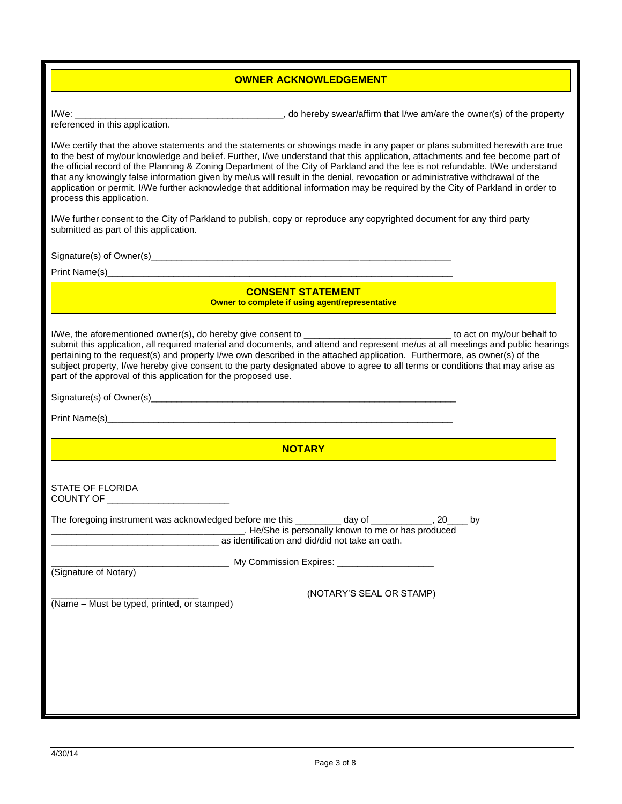#### **OWNER ACKNOWLEDGEMENT**

I/We: \_\_\_\_\_\_\_\_\_\_\_\_\_\_\_\_\_\_\_\_\_\_\_\_\_\_\_\_\_\_\_\_\_\_\_\_\_\_\_\_\_, do hereby swear/affirm that I/we am/are the owner(s) of the property

referenced in this application.

I/We certify that the above statements and the statements or showings made in any paper or plans submitted herewith are true to the best of my/our knowledge and belief. Further, I/we understand that this application, attachments and fee become part of the official record of the Planning & Zoning Department of the City of Parkland and the fee is not refundable. I/We understand that any knowingly false information given by me/us will result in the denial, revocation or administrative withdrawal of the application or permit. I/We further acknowledge that additional information may be required by the City of Parkland in order to process this application.

I/We further consent to the City of Parkland to publish, copy or reproduce any copyrighted document for any third party submitted as part of this application.

Signature(s) of Owner(s)\_\_\_\_\_\_\_\_\_\_\_\_\_\_\_\_\_\_\_\_\_\_\_\_\_\_\_\_\_\_\_\_\_\_\_\_\_\_\_\_\_\_\_\_\_\_\_\_\_\_\_\_\_\_\_\_\_\_\_

Print Name(s)

**CONSENT STATEMENT COWNER 18 COMPLET COMPLETE IF USING A COMPLEM** 

I/We, the aforementioned owner(s), do hereby give consent to \_\_\_\_\_\_\_\_\_\_\_\_\_\_\_\_\_\_\_\_\_\_\_\_\_\_\_\_\_ to act on my/our behalf to submit this application, all required material and documents, and attend and represent me/us at all meetings and public hearings pertaining to the request(s) and property I/we own described in the attached application. Furthermore, as owner(s) of the subject property, I/we hereby give consent to the party designated above to agree to all terms or conditions that may arise as part of the approval of this application for the proposed use.

Signature(s) of Owner(s)\_\_\_\_\_\_\_\_\_\_\_\_\_\_\_\_\_\_\_\_\_\_\_\_\_\_\_\_\_\_\_\_\_\_\_\_\_\_\_\_\_\_\_\_\_\_\_\_\_\_\_\_\_\_\_\_\_\_\_\_

Print Name(s)\_\_\_\_\_\_\_\_\_\_\_\_\_\_\_\_\_\_\_\_\_\_\_\_\_\_\_\_\_\_\_\_\_\_\_\_\_\_\_\_\_\_\_\_\_\_\_\_\_\_\_\_\_\_\_\_\_\_\_\_\_\_\_\_\_\_\_\_

**NOTARY** 

\_\_\_\_\_\_\_\_\_\_\_\_\_\_\_\_\_\_\_\_\_\_\_\_\_\_\_\_\_\_\_\_\_\_\_ My Commission Expires: \_\_\_\_\_\_\_\_\_\_\_\_\_\_\_\_\_\_\_

STATE OF FLORIDA COUNTY OF \_\_\_\_\_\_\_\_\_\_\_\_\_\_\_\_\_\_\_\_\_\_\_\_

The foregoing instrument was acknowledged before me this \_\_\_\_\_\_\_\_ day of \_\_\_\_\_\_\_\_, 20\_\_\_\_ by<br>Le/She is personally known to me or has produced \_\_\_\_\_\_\_\_\_\_\_\_\_\_\_\_\_\_\_\_\_\_\_\_\_\_\_\_\_\_\_\_\_\_\_\_\_\_. He/She is personally known to me or has produced \_\_\_\_\_\_\_\_\_\_\_\_\_\_\_\_\_\_\_\_\_\_\_\_\_\_\_\_\_\_\_\_\_ as identification and did/did not take an oath.

(Signature of Notary)

\_\_\_\_\_\_\_\_\_\_\_\_\_\_\_\_\_\_\_\_\_\_\_\_\_\_\_\_\_ (NOTARY'S SEAL OR STAMP)

(Name – Must be typed, printed, or stamped)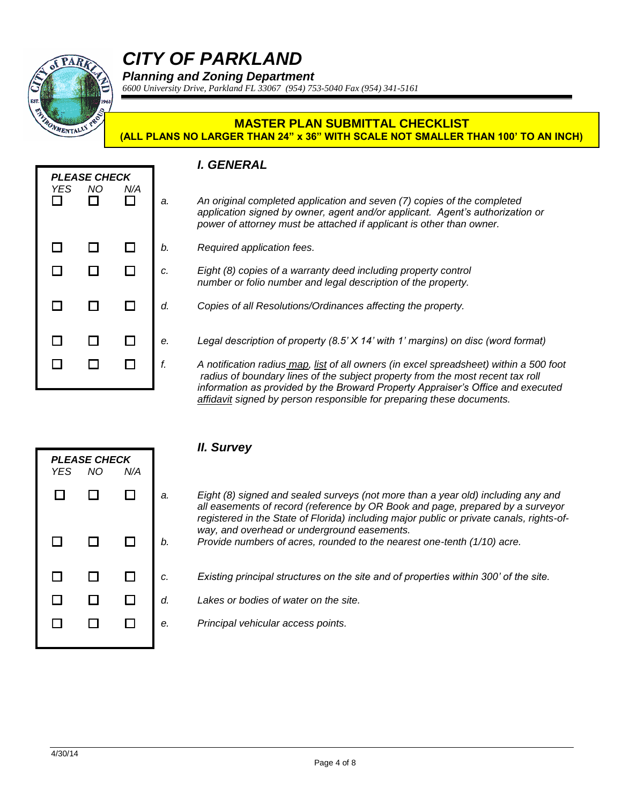

# *CITY OF PARKLAND*

*Planning and Zoning Department*

*6600 University Drive, Parkland FL 33067 (954) 753-5040 Fax (954) 341-5161*

#### **MASTER PLAN SUBMITTAL CHECKLIST (ALL PLANS NO LARGER THAN 24" x 36" WITH SCALE NOT SMALLER THAN 100' TO AN INCH)**

### *I. GENERAL*

| <b>YES</b><br>$\Box$ | <b>PLEASE CHECK</b><br>NΟ<br>П | N/A<br>П      | a.       |
|----------------------|--------------------------------|---------------|----------|
| $\Box$<br>$\Box$     | □<br>$\Box$                    | □<br>$\Box$   | b.<br>c. |
| $\Box$               | □                              | □             | d.       |
| □<br>П               | $\Box$<br>ר ו                  | $\Box$<br>ן ו | e.<br>f. |
|                      |                                |               |          |

- *a. An original completed application and seven (7) copies of the completed application signed by owner, agent and/or applicant. Agent's authorization or power of attorney must be attached if applicant is other than owner.*
- *b. Required application fees.*
- *c. Eight (8) copies of a warranty deed including property control number or folio number and legal description of the property.*
- *d. Copies of all Resolutions/Ordinances affecting the property.*
- Legal description of property (8.5' X 14' with 1' margins) on disc (word format)

*f. A notification radius map, list of all owners (in excel spreadsheet) within a 500 foot radius of boundary lines of the subject property from the most recent tax roll information as provided by the Broward Property Appraiser's Office and executed affidavit signed by person responsible for preparing these documents.* 

| <b>YES</b> | <b>PLEASE CHECK</b><br><b>NO</b> | N/A    |   |
|------------|----------------------------------|--------|---|
| $\Box$     | □                                | $\Box$ | a |
|            |                                  |        |   |
| $\Box$     | $\Box$                           | $\Box$ | b |
| $\Box$     | $\Box$                           | $\Box$ | c |
|            |                                  |        |   |
| $\Box$     | $\Box$                           | $\Box$ | d |
| □          | □                                | $\Box$ | e |
|            |                                  |        |   |

- *II. Survey*
- *a. Eight (8) signed and sealed surveys (not more than a year old) including any and all easements of record (reference by OR Book and page, prepared by a surveyor registered in the State of Florida) including major public or private canals, rights-ofway, and overhead or underground easements.*
- *b. Provide numbers of acres, rounded to the nearest one-tenth (1/10) acre.*
- *Existing principal structures on the site and of properties within 300' of the site.*
- *d. Lakes or bodies of water on the site.*
- *Principal vehicular access points.*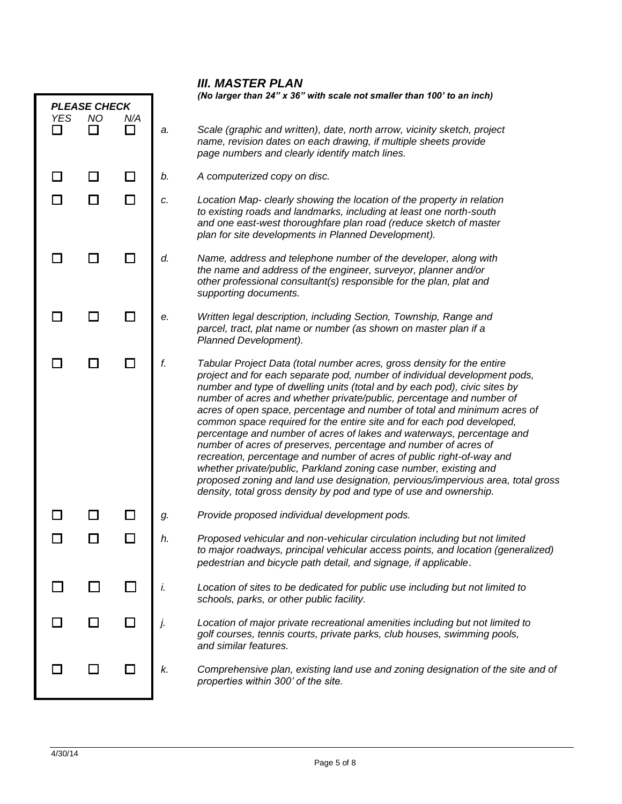|                                                       |  |        |                                                                        | <b>III. MASTER PLAN</b>                                                                                                                                                                                                                                                                                                                                                                                                                                                                                                                                                                                                                                                                                                                                                                                                                                                                                          |
|-------------------------------------------------------|--|--------|------------------------------------------------------------------------|------------------------------------------------------------------------------------------------------------------------------------------------------------------------------------------------------------------------------------------------------------------------------------------------------------------------------------------------------------------------------------------------------------------------------------------------------------------------------------------------------------------------------------------------------------------------------------------------------------------------------------------------------------------------------------------------------------------------------------------------------------------------------------------------------------------------------------------------------------------------------------------------------------------|
| <b>PLEASE CHECK</b><br><b>NO</b><br><b>YES</b><br>N/A |  |        | (No larger than 24" x 36" with scale not smaller than 100' to an inch) |                                                                                                                                                                                                                                                                                                                                                                                                                                                                                                                                                                                                                                                                                                                                                                                                                                                                                                                  |
| $\mathbf{I}$                                          |  | $\Box$ | a.                                                                     | Scale (graphic and written), date, north arrow, vicinity sketch, project<br>name, revision dates on each drawing, if multiple sheets provide<br>page numbers and clearly identify match lines.                                                                                                                                                                                                                                                                                                                                                                                                                                                                                                                                                                                                                                                                                                                   |
|                                                       |  | $\Box$ | b.                                                                     | A computerized copy on disc.                                                                                                                                                                                                                                                                                                                                                                                                                                                                                                                                                                                                                                                                                                                                                                                                                                                                                     |
|                                                       |  | $\Box$ | c.                                                                     | Location Map- clearly showing the location of the property in relation<br>to existing roads and landmarks, including at least one north-south<br>and one east-west thoroughfare plan road (reduce sketch of master<br>plan for site developments in Planned Development).                                                                                                                                                                                                                                                                                                                                                                                                                                                                                                                                                                                                                                        |
|                                                       |  |        | d.                                                                     | Name, address and telephone number of the developer, along with<br>the name and address of the engineer, surveyor, planner and/or<br>other professional consultant(s) responsible for the plan, plat and<br>supporting documents.                                                                                                                                                                                                                                                                                                                                                                                                                                                                                                                                                                                                                                                                                |
|                                                       |  |        | е.                                                                     | Written legal description, including Section, Township, Range and<br>parcel, tract, plat name or number (as shown on master plan if a<br>Planned Development).                                                                                                                                                                                                                                                                                                                                                                                                                                                                                                                                                                                                                                                                                                                                                   |
|                                                       |  |        | f.                                                                     | Tabular Project Data (total number acres, gross density for the entire<br>project and for each separate pod, number of individual development pods,<br>number and type of dwelling units (total and by each pod), civic sites by<br>number of acres and whether private/public, percentage and number of<br>acres of open space, percentage and number of total and minimum acres of<br>common space required for the entire site and for each pod developed,<br>percentage and number of acres of lakes and waterways, percentage and<br>number of acres of preserves, percentage and number of acres of<br>recreation, percentage and number of acres of public right-of-way and<br>whether private/public, Parkland zoning case number, existing and<br>proposed zoning and land use designation, pervious/impervious area, total gross<br>density, total gross density by pod and type of use and ownership. |
|                                                       |  |        | g.                                                                     | Provide proposed individual development pods.                                                                                                                                                                                                                                                                                                                                                                                                                                                                                                                                                                                                                                                                                                                                                                                                                                                                    |
|                                                       |  |        | h.                                                                     | Proposed vehicular and non-vehicular circulation including but not limited<br>to major roadways, principal vehicular access points, and location (generalized)<br>pedestrian and bicycle path detail, and signage, if applicable.                                                                                                                                                                                                                                                                                                                                                                                                                                                                                                                                                                                                                                                                                |
|                                                       |  |        | i.                                                                     | Location of sites to be dedicated for public use including but not limited to<br>schools, parks, or other public facility.                                                                                                                                                                                                                                                                                                                                                                                                                                                                                                                                                                                                                                                                                                                                                                                       |
|                                                       |  |        | j.                                                                     | Location of major private recreational amenities including but not limited to<br>golf courses, tennis courts, private parks, club houses, swimming pools,<br>and similar features.                                                                                                                                                                                                                                                                                                                                                                                                                                                                                                                                                                                                                                                                                                                               |
|                                                       |  |        | k.                                                                     | Comprehensive plan, existing land use and zoning designation of the site and of<br>properties within 300' of the site.                                                                                                                                                                                                                                                                                                                                                                                                                                                                                                                                                                                                                                                                                                                                                                                           |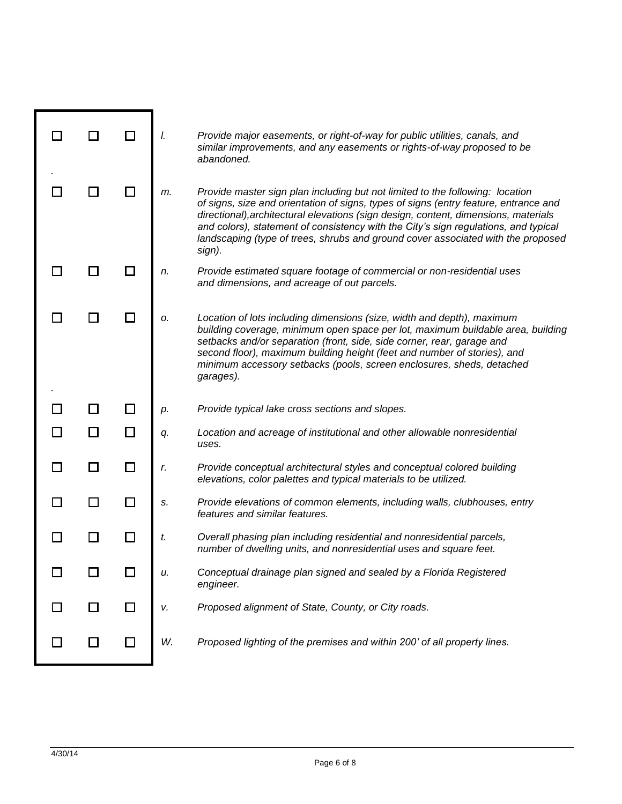|  |   | I. | Provide major easements, or right-of-way for public utilities, canals, and<br>similar improvements, and any easements or rights-of-way proposed to be<br>abandoned.                                                                                                                                                                                                                                                                               |
|--|---|----|---------------------------------------------------------------------------------------------------------------------------------------------------------------------------------------------------------------------------------------------------------------------------------------------------------------------------------------------------------------------------------------------------------------------------------------------------|
|  |   | m. | Provide master sign plan including but not limited to the following: location<br>of signs, size and orientation of signs, types of signs (entry feature, entrance and<br>directional), architectural elevations (sign design, content, dimensions, materials<br>and colors), statement of consistency with the City's sign regulations, and typical<br>landscaping (type of trees, shrubs and ground cover associated with the proposed<br>sign). |
|  |   | n. | Provide estimated square footage of commercial or non-residential uses<br>and dimensions, and acreage of out parcels.                                                                                                                                                                                                                                                                                                                             |
|  |   | 0. | Location of lots including dimensions (size, width and depth), maximum<br>building coverage, minimum open space per lot, maximum buildable area, building<br>setbacks and/or separation (front, side, side corner, rear, garage and<br>second floor), maximum building height (feet and number of stories), and<br>minimum accessory setbacks (pools, screen enclosures, sheds, detached<br>garages).                                             |
|  |   |    |                                                                                                                                                                                                                                                                                                                                                                                                                                                   |
|  |   | p. | Provide typical lake cross sections and slopes.                                                                                                                                                                                                                                                                                                                                                                                                   |
|  | П | q. | Location and acreage of institutional and other allowable nonresidential<br>uses.                                                                                                                                                                                                                                                                                                                                                                 |
|  | П | r. | Provide conceptual architectural styles and conceptual colored building<br>elevations, color palettes and typical materials to be utilized.                                                                                                                                                                                                                                                                                                       |
|  | П | S. | Provide elevations of common elements, including walls, clubhouses, entry<br>features and similar features.                                                                                                                                                                                                                                                                                                                                       |
|  | П | t. | Overall phasing plan including residential and nonresidential parcels,<br>number of dwelling units, and nonresidential uses and square feet.                                                                                                                                                                                                                                                                                                      |
|  |   | u. | Conceptual drainage plan signed and sealed by a Florida Registered<br>engineer.                                                                                                                                                                                                                                                                                                                                                                   |
|  |   | v. | Proposed alignment of State, County, or City roads.                                                                                                                                                                                                                                                                                                                                                                                               |

٠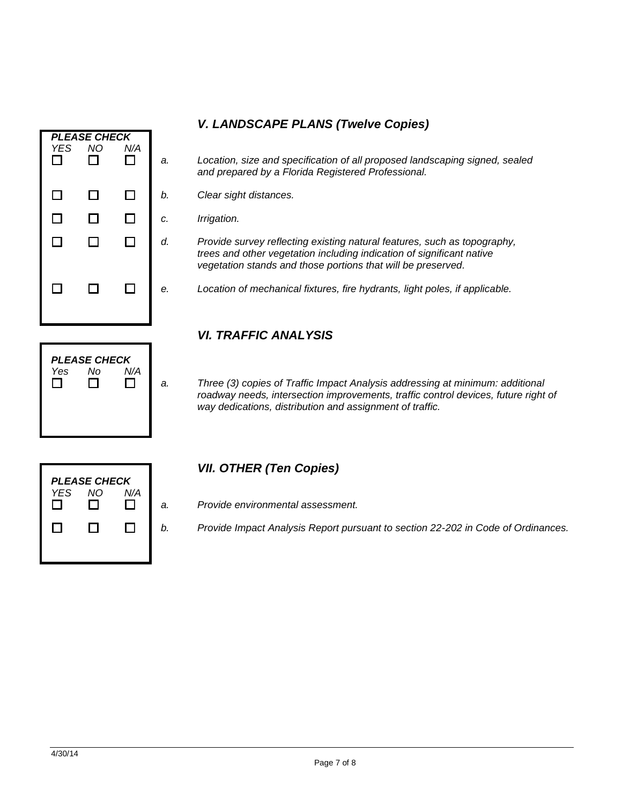- *PLEASE CHECK YES NO N/A* □  $\Box$  $\Box$  $\Box$  $\Box$  $\Box$  $\Box$  $\Box$  $\Box$  $\Box$  $\Box$  $\Box$  $\Box$ 
	- *a. Location, size and specification of all proposed landscaping signed, sealed and prepared by a Florida Registered Professional.*
	- *b. Clear sight distances.*
	- *c. Irrigation.*
	- *d. Provide survey reflecting existing natural features, such as topography, trees and other vegetation including indication of significant native vegetation stands and those portions that will be preserved.*
	- *e. Location of mechanical fixtures, fire hydrants, light poles, if applicable.*

### *VI. TRAFFIC ANALYSIS*

*a. Three (3) copies of Traffic Impact Analysis addressing at minimum: additional roadway needs, intersection improvements, traffic control devices, future right of way dedications, distribution and assignment of traffic.*

|            | <b>PLEASE CHECK</b> |     |   |
|------------|---------------------|-----|---|
| <b>YES</b> | NO                  | N/A | ć |
|            | l 1                 |     | ŀ |
|            |                     |     |   |

*PLEASE CHECK Yes No N/A*

П

 $\Box$ 

 $\Box$ 

### *VII. OTHER (Ten Copies)*

- *a. Provide environmental assessment.*
- *b. Provide Impact Analysis Report pursuant to section 22-202 in Code of Ordinances.*